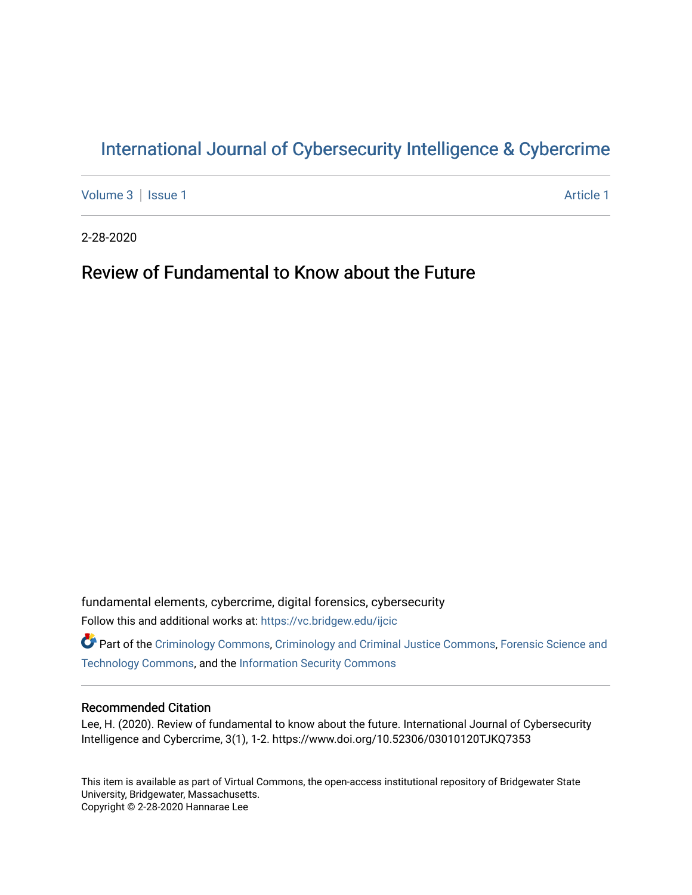## [International Journal of Cybersecurity Intelligence & Cybercrime](https://vc.bridgew.edu/ijcic)

[Volume 3](https://vc.bridgew.edu/ijcic/vol3) | [Issue 1](https://vc.bridgew.edu/ijcic/vol3/iss1) Article 1

2-28-2020

# Review of Fundamental to Know about the Future

fundamental elements, cybercrime, digital forensics, cybersecurity Follow this and additional works at: [https://vc.bridgew.edu/ijcic](https://vc.bridgew.edu/ijcic?utm_source=vc.bridgew.edu%2Fijcic%2Fvol3%2Fiss1%2F1&utm_medium=PDF&utm_campaign=PDFCoverPages) 

Part of the [Criminology Commons](https://network.bepress.com/hgg/discipline/417?utm_source=vc.bridgew.edu%2Fijcic%2Fvol3%2Fiss1%2F1&utm_medium=PDF&utm_campaign=PDFCoverPages), [Criminology and Criminal Justice Commons,](https://network.bepress.com/hgg/discipline/367?utm_source=vc.bridgew.edu%2Fijcic%2Fvol3%2Fiss1%2F1&utm_medium=PDF&utm_campaign=PDFCoverPages) [Forensic Science and](https://network.bepress.com/hgg/discipline/1277?utm_source=vc.bridgew.edu%2Fijcic%2Fvol3%2Fiss1%2F1&utm_medium=PDF&utm_campaign=PDFCoverPages)  [Technology Commons,](https://network.bepress.com/hgg/discipline/1277?utm_source=vc.bridgew.edu%2Fijcic%2Fvol3%2Fiss1%2F1&utm_medium=PDF&utm_campaign=PDFCoverPages) and the [Information Security Commons](https://network.bepress.com/hgg/discipline/1247?utm_source=vc.bridgew.edu%2Fijcic%2Fvol3%2Fiss1%2F1&utm_medium=PDF&utm_campaign=PDFCoverPages) 

### Recommended Citation

Lee, H. (2020). Review of fundamental to know about the future. International Journal of Cybersecurity Intelligence and Cybercrime, 3(1), 1-2. https://www.doi.org/10.52306/03010120TJKQ7353

This item is available as part of Virtual Commons, the open-access institutional repository of Bridgewater State University, Bridgewater, Massachusetts. Copyright © 2-28-2020 Hannarae Lee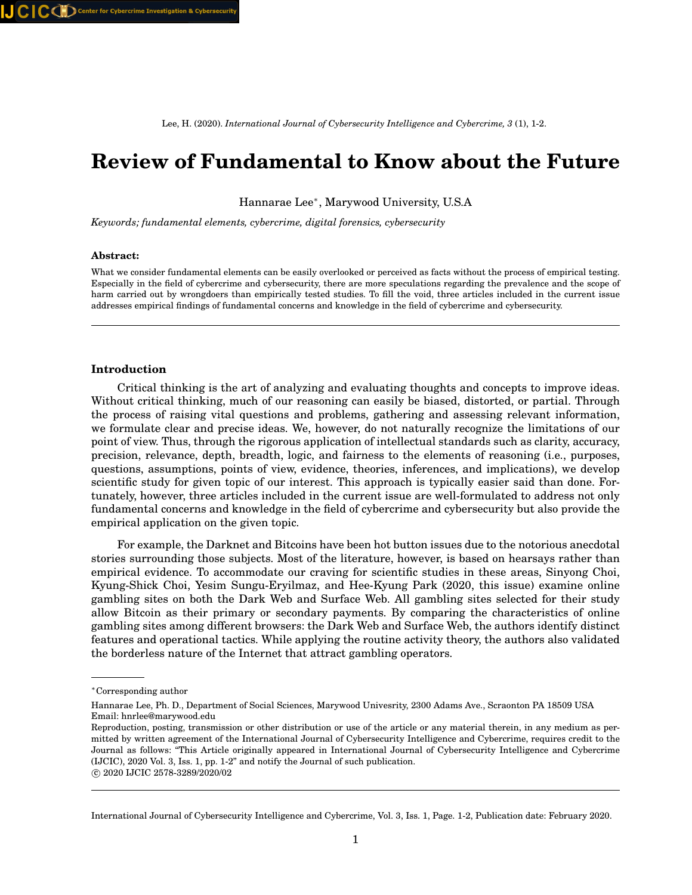Lee, H. (2020). *International Journal of Cybersecurity Intelligence and Cybercrime, 3* (1), 1-2.

# **Review of Fundamental to Know about the Future**

Hannarae Lee<sup>∗</sup> , Marywood University, U.S.A

*Keywords; fundamental elements, cybercrime, digital forensics, cybersecurity*

#### **Abstract:**

What we consider fundamental elements can be easily overlooked or perceived as facts without the process of empirical testing. Especially in the field of cybercrime and cybersecurity, there are more speculations regarding the prevalence and the scope of harm carried out by wrongdoers than empirically tested studies. To fill the void, three articles included in the current issue addresses empirical findings of fundamental concerns and knowledge in the field of cybercrime and cybersecurity.

#### **Introduction**

Critical thinking is the art of analyzing and evaluating thoughts and concepts to improve ideas. Without critical thinking, much of our reasoning can easily be biased, distorted, or partial. Through the process of raising vital questions and problems, gathering and assessing relevant information, we formulate clear and precise ideas. We, however, do not naturally recognize the limitations of our point of view. Thus, through the rigorous application of intellectual standards such as clarity, accuracy, precision, relevance, depth, breadth, logic, and fairness to the elements of reasoning (i.e., purposes, questions, assumptions, points of view, evidence, theories, inferences, and implications), we develop scientific study for given topic of our interest. This approach is typically easier said than done. Fortunately, however, three articles included in the current issue are well-formulated to address not only fundamental concerns and knowledge in the field of cybercrime and cybersecurity but also provide the empirical application on the given topic.

For example, the Darknet and Bitcoins have been hot button issues due to the notorious anecdotal stories surrounding those subjects. Most of the literature, however, is based on hearsays rather than empirical evidence. To accommodate our craving for scientific studies in these areas, Sinyong Choi, Kyung-Shick Choi, Yesim Sungu-Eryilmaz, and Hee-Kyung Park (2020, this issue) examine online gambling sites on both the Dark Web and Surface Web. All gambling sites selected for their study allow Bitcoin as their primary or secondary payments. By comparing the characteristics of online gambling sites among different browsers: the Dark Web and Surface Web, the authors identify distinct features and operational tactics. While applying the routine activity theory, the authors also validated the borderless nature of the Internet that attract gambling operators.

International Journal of Cybersecurity Intelligence and Cybercrime, Vol. 3, Iss. 1, Page. 1-2, Publication date: February 2020.

<sup>∗</sup>Corresponding author

Hannarae Lee, Ph. D., Department of Social Sciences, Marywood Univesrity, 2300 Adams Ave., Scraonton PA 18509 USA Email: hnrlee@marywood.edu

Reproduction, posting, transmission or other distribution or use of the article or any material therein, in any medium as permitted by written agreement of the International Journal of Cybersecurity Intelligence and Cybercrime, requires credit to the Journal as follows: "This Article originally appeared in International Journal of Cybersecurity Intelligence and Cybercrime (IJCIC), 2020 Vol. 3, Iss. 1, pp. 1-2" and notify the Journal of such publication.

c 2020 IJCIC 2578-3289/2020/02